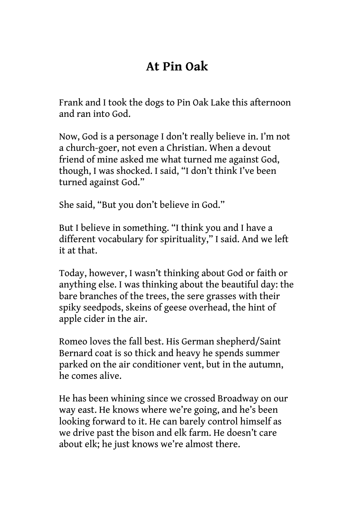## **At Pin Oak**

Frank and I took the dogs to Pin Oak Lake this afternoon and ran into God.

Now, God is a personage I don't really believe in. I'm not a church-goer, not even a Christian. When a devout friend of mine asked me what turned me against God, though, I was shocked. I said, "I don't think I've been turned against God."

She said, "But you don't believe in God."

But I believe in something. "I think you and I have a different vocabulary for spirituality," I said. And we left it at that.

Today, however, I wasn't thinking about God or faith or anything else. I was thinking about the beautiful day: the bare branches of the trees, the sere grasses with their spiky seedpods, skeins of geese overhead, the hint of apple cider in the air.

Romeo loves the fall best. His German shepherd/Saint Bernard coat is so thick and heavy he spends summer parked on the air conditioner vent, but in the autumn, he comes alive.

He has been whining since we crossed Broadway on our way east. He knows where we're going, and he's been looking forward to it. He can barely control himself as we drive past the bison and elk farm. He doesn't care about elk; he just knows we're almost there.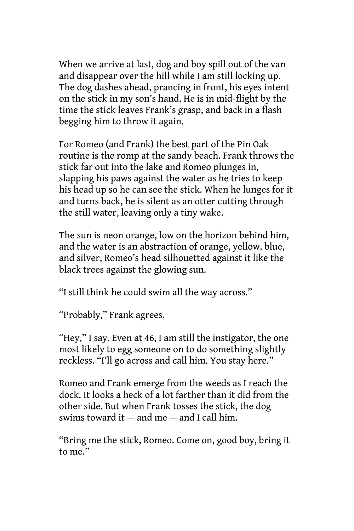When we arrive at last, dog and boy spill out of the van and disappear over the hill while I am still locking up. The dog dashes ahead, prancing in front, his eyes intent on the stick in my son's hand. He is in mid-flight by the time the stick leaves Frank's grasp, and back in a flash begging him to throw it again.

For Romeo (and Frank) the best part of the Pin Oak routine is the romp at the sandy beach. Frank throws the stick far out into the lake and Romeo plunges in, slapping his paws against the water as he tries to keep his head up so he can see the stick. When he lunges for it and turns back, he is silent as an otter cutting through the still water, leaving only a tiny wake.

The sun is neon orange, low on the horizon behind him, and the water is an abstraction of orange, yellow, blue, and silver, Romeo's head silhouetted against it like the black trees against the glowing sun.

"I still think he could swim all the way across."

"Probably," Frank agrees.

"Hey," I say. Even at 46, I am still the instigator, the one most likely to egg someone on to do something slightly reckless. "I'll go across and call him. You stay here."

Romeo and Frank emerge from the weeds as I reach the dock. It looks a heck of a lot farther than it did from the other side. But when Frank tosses the stick, the dog swims toward it  $-$  and me  $-$  and I call him.

"Bring me the stick, Romeo. Come on, good boy, bring it to me."